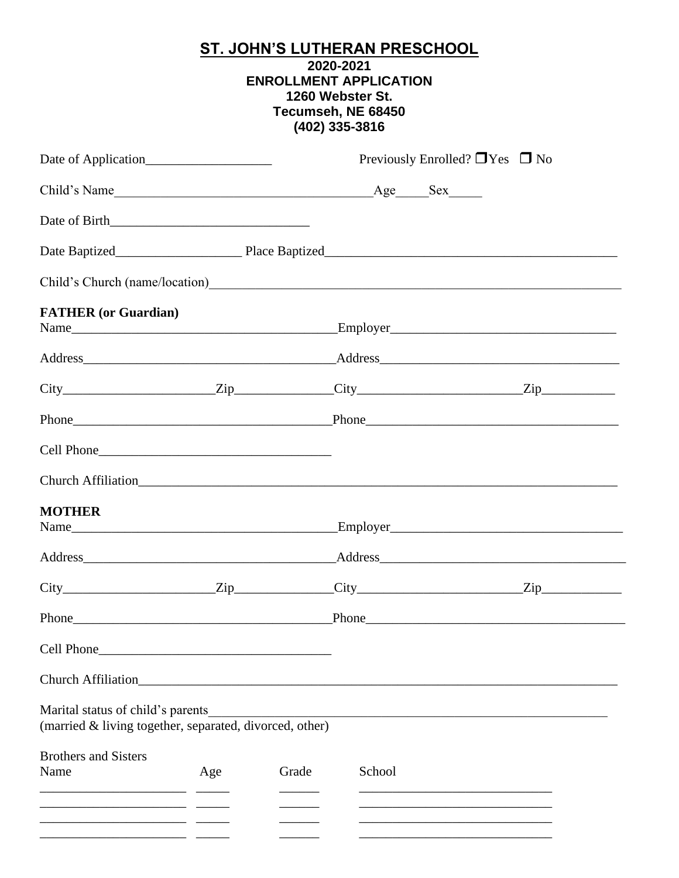# ST. JOHN'S LUTHERAN PRESCHOOL<br>2020-2021 **ENROLLMENT APPLICATION** 1260 Webster St. Tecumseh, NE 68450  $(402)$  335-3816

| Date of Application                                                                                                                                                                                                                                                         |     | Previously Enrolled? $\Box$ Yes $\Box$ No |        |  |  |
|-----------------------------------------------------------------------------------------------------------------------------------------------------------------------------------------------------------------------------------------------------------------------------|-----|-------------------------------------------|--------|--|--|
|                                                                                                                                                                                                                                                                             |     |                                           |        |  |  |
|                                                                                                                                                                                                                                                                             |     |                                           |        |  |  |
|                                                                                                                                                                                                                                                                             |     |                                           |        |  |  |
|                                                                                                                                                                                                                                                                             |     |                                           |        |  |  |
| <b>FATHER</b> (or Guardian)                                                                                                                                                                                                                                                 |     |                                           |        |  |  |
|                                                                                                                                                                                                                                                                             |     |                                           |        |  |  |
| $City$ $Zip$ $Zip$ $City$ $City$ $Zip$                                                                                                                                                                                                                                      |     |                                           |        |  |  |
|                                                                                                                                                                                                                                                                             |     |                                           |        |  |  |
|                                                                                                                                                                                                                                                                             |     |                                           |        |  |  |
| Church Affiliation<br><u>Church Affiliation</u>                                                                                                                                                                                                                             |     |                                           |        |  |  |
| <b>MOTHER</b>                                                                                                                                                                                                                                                               |     |                                           |        |  |  |
| Address Address Address Address Address Address Address Address Address Address Address Address Address Address Address Address Address Address Address Address Address Address Address Address Address Address Address Addres                                              |     |                                           |        |  |  |
| $City$ $Zip$ $Zip$ $Zip$ $City$ $Zip$ $Zip$                                                                                                                                                                                                                                 |     |                                           |        |  |  |
|                                                                                                                                                                                                                                                                             |     |                                           |        |  |  |
|                                                                                                                                                                                                                                                                             |     |                                           |        |  |  |
|                                                                                                                                                                                                                                                                             |     |                                           |        |  |  |
| Marital status of child's parents<br>(married & living together, separated, divorced, other)                                                                                                                                                                                |     |                                           |        |  |  |
| <b>Brothers and Sisters</b><br>Name<br><u> 1989 - Johann Johnson, mars andrew for the second property of the second property of the second property of the second property of the second property of the second property of the second property of the second property </u> | Age | Grade                                     | School |  |  |
|                                                                                                                                                                                                                                                                             |     |                                           |        |  |  |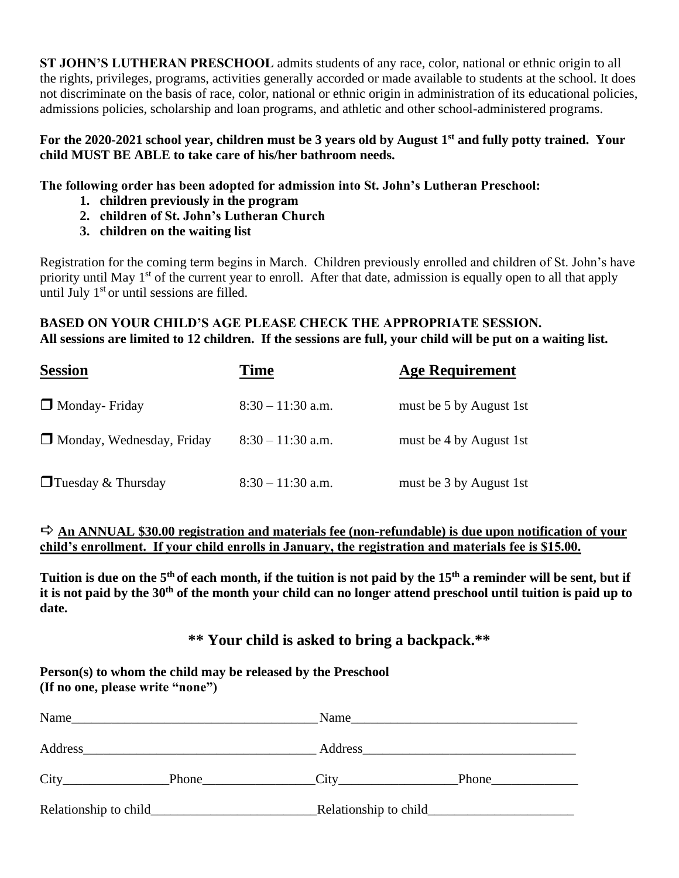**ST JOHN'S LUTHERAN PRESCHOOL** admits students of any race, color, national or ethnic origin to all the rights, privileges, programs, activities generally accorded or made available to students at the school. It does not discriminate on the basis of race, color, national or ethnic origin in administration of its educational policies, admissions policies, scholarship and loan programs, and athletic and other school-administered programs.

#### **For the 2020-2021 school year, children must be 3 years old by August 1 st and fully potty trained. Your child MUST BE ABLE to take care of his/her bathroom needs.**

### **The following order has been adopted for admission into St. John's Lutheran Preschool:**

- **1. children previously in the program**
- **2. children of St. John's Lutheran Church**
- **3. children on the waiting list**

Registration for the coming term begins in March. Children previously enrolled and children of St. John's have priority until May 1<sup>st</sup> of the current year to enroll. After that date, admission is equally open to all that apply until July  $1<sup>st</sup>$  or until sessions are filled.

### **BASED ON YOUR CHILD'S AGE PLEASE CHECK THE APPROPRIATE SESSION. All sessions are limited to 12 children. If the sessions are full, your child will be put on a waiting list.**

| <b>Session</b>                   | Time                | <b>Age Requirement</b>  |
|----------------------------------|---------------------|-------------------------|
| $\Box$ Monday-Friday             | $8:30 - 11:30$ a.m. | must be 5 by August 1st |
| $\Box$ Monday, Wednesday, Friday | $8:30 - 11:30$ a.m. | must be 4 by August 1st |
| $\Box$ Tuesday & Thursday        | $8:30 - 11:30$ a.m. | must be 3 by August 1st |

### **An ANNUAL \$30.00 registration and materials fee (non-refundable) is due upon notification of your child's enrollment. If your child enrolls in January, the registration and materials fee is \$15.00.**

**Tuition is due on the 5th of each month, if the tuition is not paid by the 15th a reminder will be sent, but if it is not paid by the 30th of the month your child can no longer attend preschool until tuition is paid up to date.**

### **\*\* Your child is asked to bring a backpack.\*\***

**Person(s) to whom the child may be released by the Preschool (If no one, please write "none")**

| Name                   |                                                       |       |
|------------------------|-------------------------------------------------------|-------|
| Address                | <u> 1980 - Jan Stein Berlin, Amerikaansk kanton (</u> |       |
| City                   | Phone                                                 | Phone |
| Relationship to child_ |                                                       |       |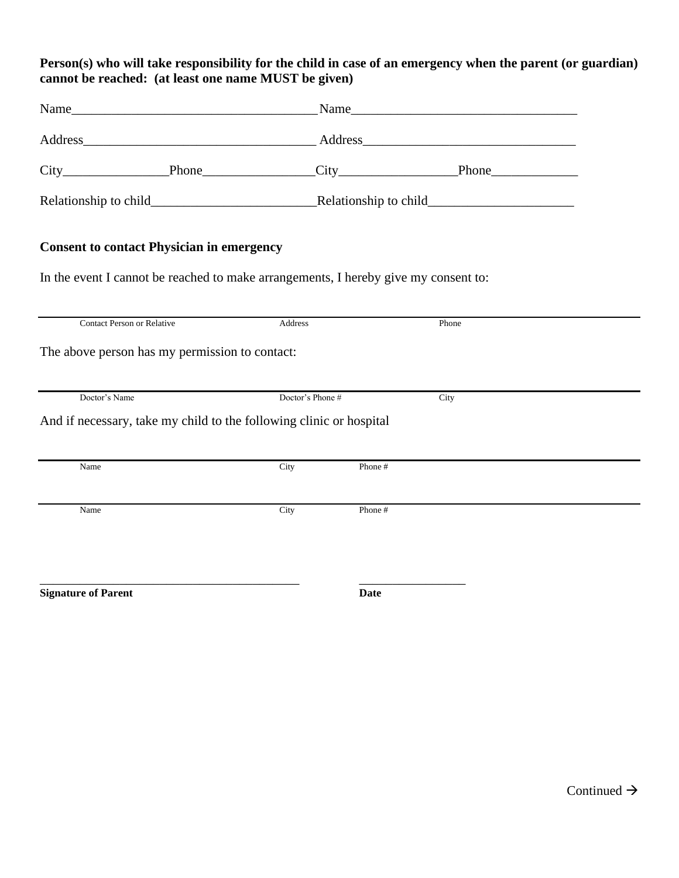### **Person(s) who will take responsibility for the child in case of an emergency when the parent (or guardian) cannot be reached: (at least one name MUST be given)**

|                                                                                     |                  | Address Address Address Address Address Address Address Address Address Address Address Address Address Address Address Address Address Address Address Address Address Address Address Address Address Address Address Addres |
|-------------------------------------------------------------------------------------|------------------|--------------------------------------------------------------------------------------------------------------------------------------------------------------------------------------------------------------------------------|
|                                                                                     |                  |                                                                                                                                                                                                                                |
|                                                                                     |                  |                                                                                                                                                                                                                                |
| <b>Consent to contact Physician in emergency</b>                                    |                  |                                                                                                                                                                                                                                |
| In the event I cannot be reached to make arrangements, I hereby give my consent to: |                  |                                                                                                                                                                                                                                |
| <b>Contact Person or Relative</b>                                                   | Address          | Phone                                                                                                                                                                                                                          |
| The above person has my permission to contact:                                      |                  |                                                                                                                                                                                                                                |
| Doctor's Name                                                                       | Doctor's Phone # | City                                                                                                                                                                                                                           |
| And if necessary, take my child to the following clinic or hospital                 |                  |                                                                                                                                                                                                                                |
| Name                                                                                | City             | Phone #                                                                                                                                                                                                                        |
| Name                                                                                | City             | Phone #                                                                                                                                                                                                                        |
|                                                                                     |                  |                                                                                                                                                                                                                                |
| <b>Signature of Parent</b>                                                          |                  | <b>Date</b>                                                                                                                                                                                                                    |